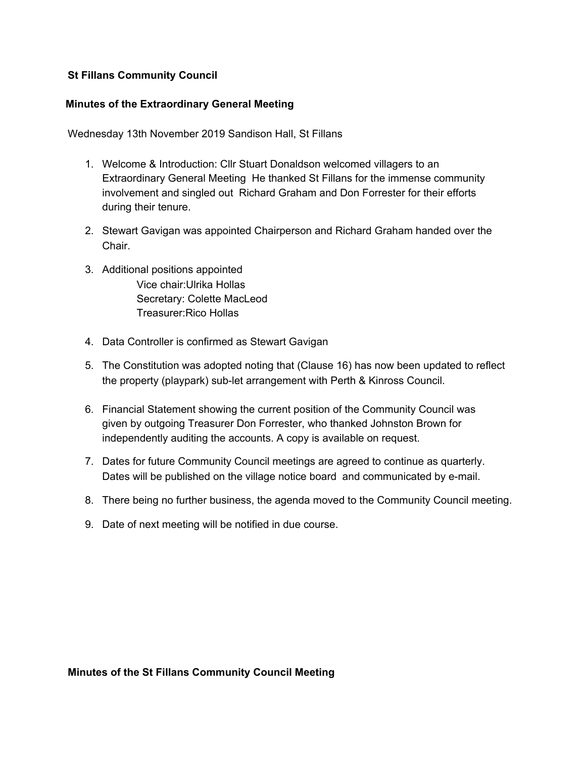## **St Fillans Community Council**

#### **Minutes of the Extraordinary General Meeting**

Wednesday 13th November 2019 Sandison Hall, St Fillans

- 1. Welcome & Introduction: Cllr Stuart Donaldson welcomed villagers to an Extraordinary General Meeting He thanked St Fillans for the immense community involvement and singled out Richard Graham and Don Forrester for their efforts during their tenure.
- 2. Stewart Gavigan was appointed Chairperson and Richard Graham handed over the Chair.
- 3. Additional positions appointed Vice chair:Ulrika Hollas Secretary: Colette MacLeod Treasurer:Rico Hollas
- 4. Data Controller is confirmed as Stewart Gavigan
- 5. The Constitution was adopted noting that (Clause 16) has now been updated to reflect the property (playpark) sub-let arrangement with Perth & Kinross Council.
- 6. Financial Statement showing the current position of the Community Council was given by outgoing Treasurer Don Forrester, who thanked Johnston Brown for independently auditing the accounts. A copy is available on request.
- 7. Dates for future Community Council meetings are agreed to continue as quarterly. Dates will be published on the village notice board and communicated by e-mail.
- 8. There being no further business, the agenda moved to the Community Council meeting.
- 9. Date of next meeting will be notified in due course.

**Minutes of the St Fillans Community Council Meeting**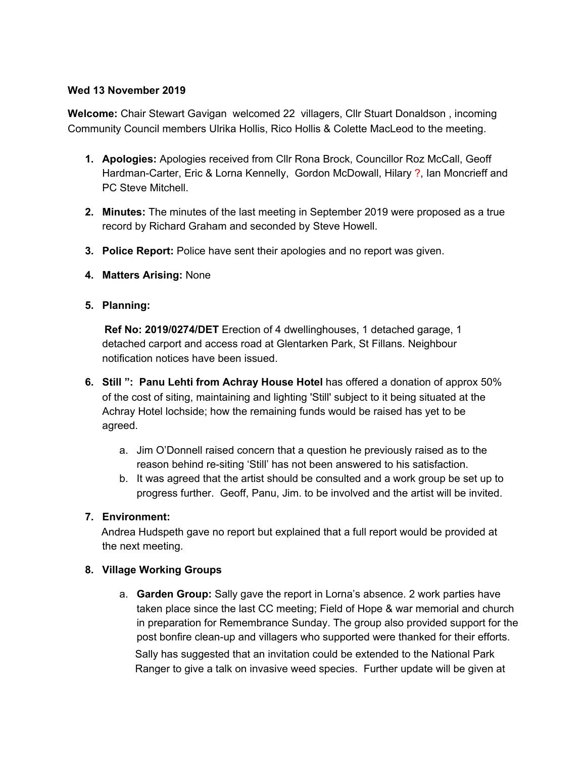## **Wed 13 November 2019**

**Welcome:** Chair Stewart Gavigan welcomed 22 villagers, Cllr Stuart Donaldson , incoming Community Council members Ulrika Hollis, Rico Hollis & Colette MacLeod to the meeting.

- **1. Apologies:** Apologies received from Cllr Rona Brock, Councillor Roz McCall, Geoff Hardman-Carter, Eric & Lorna Kennelly, Gordon McDowall, Hilary ?, Ian Moncrieff and PC Steve Mitchell.
- **2. Minutes:** The minutes of the last meeting in September 2019 were proposed as a true record by Richard Graham and seconded by Steve Howell.
- **3. Police Report:** Police have sent their apologies and no report was given.
- **4. Matters Arising:** None
- **5. Planning:**

**Ref No: 2019/0274/DET** Erection of 4 dwellinghouses, 1 detached garage, 1 detached carport and access road at Glentarken Park, St Fillans. Neighbour notification notices have been issued.

- **6. Still ": Panu Lehti from Achray House Hotel** has offered a donation of approx 50% of the cost of siting, maintaining and lighting 'Still' subject to it being situated at the Achray Hotel lochside; how the remaining funds would be raised has yet to be agreed.
	- a. Jim O'Donnell raised concern that a question he previously raised as to the reason behind re-siting 'Still' has not been answered to his satisfaction.
	- b. It was agreed that the artist should be consulted and a work group be set up to progress further. Geoff, Panu, Jim. to be involved and the artist will be invited.

# **7. Environment:**

Andrea Hudspeth gave no report but explained that a full report would be provided at the next meeting.

## **8. Village Working Groups**

a. **Garden Group:** Sally gave the report in Lorna's absence. 2 work parties have taken place since the last CC meeting; Field of Hope & war memorial and church in preparation for Remembrance Sunday. The group also provided support for the post bonfire clean-up and villagers who supported were thanked for their efforts. Sally has suggested that an invitation could be extended to the National Park Ranger to give a talk on invasive weed species. Further update will be given at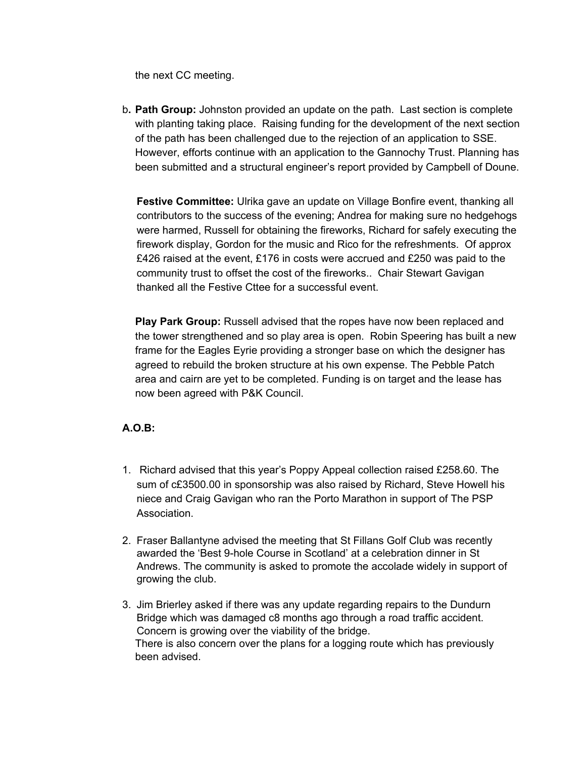the next CC meeting.

b**. Path Group:** Johnston provided an update on the path. Last section is complete with planting taking place. Raising funding for the development of the next section of the path has been challenged due to the rejection of an application to SSE. However, efforts continue with an application to the Gannochy Trust. Planning has been submitted and a structural engineer's report provided by Campbell of Doune.

**Festive Committee:** Ulrika gave an update on Village Bonfire event, thanking all contributors to the success of the evening; Andrea for making sure no hedgehogs were harmed, Russell for obtaining the fireworks, Richard for safely executing the firework display, Gordon for the music and Rico for the refreshments. Of approx £426 raised at the event, £176 in costs were accrued and £250 was paid to the community trust to offset the cost of the fireworks.. Chair Stewart Gavigan thanked all the Festive Cttee for a successful event.

**Play Park Group:** Russell advised that the ropes have now been replaced and the tower strengthened and so play area is open. Robin Speering has built a new frame for the Eagles Eyrie providing a stronger base on which the designer has agreed to rebuild the broken structure at his own expense. The Pebble Patch area and cairn are yet to be completed. Funding is on target and the lease has now been agreed with P&K Council.

# **A.O.B:**

- 1. Richard advised that this year's Poppy Appeal collection raised £258.60. The sum of c£3500.00 in sponsorship was also raised by Richard, Steve Howell his niece and Craig Gavigan who ran the Porto Marathon in support of The PSP Association.
- 2. Fraser Ballantyne advised the meeting that St Fillans Golf Club was recently awarded the 'Best 9-hole Course in Scotland' at a celebration dinner in St Andrews. The community is asked to promote the accolade widely in support of growing the club.
- 3. Jim Brierley asked if there was any update regarding repairs to the Dundurn Bridge which was damaged c8 months ago through a road traffic accident. Concern is growing over the viability of the bridge. There is also concern over the plans for a logging route which has previously been advised.